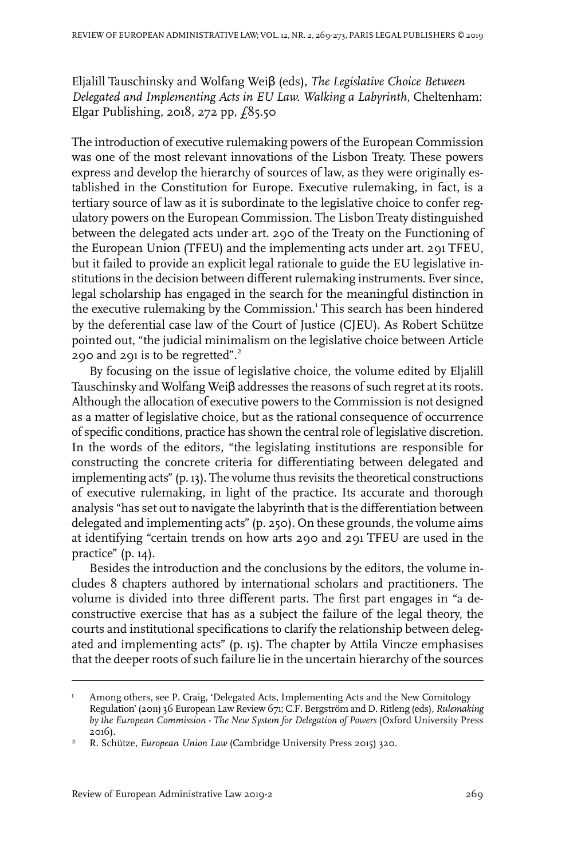Eljalill Tauschinsky and Wolfang Weiβ (eds), *The Legislative Choice Between Delegated and Implementing Acts in EU Law. Walking a Labyrinth*, Cheltenham: Elgar Publishing, 2018, 272 pp,  $\ell$ 85.50

The introduction of executive rulemaking powers of the European Commission was one of the most relevant innovations of the Lisbon Treaty. These powers express and develop the hierarchy of sources of law, as they were originally established in the Constitution for Europe. Executive rulemaking, in fact, is a tertiary source of law as it is subordinate to the legislative choice to confer regulatory powers on the European Commission. The Lisbon Treaty distinguished between the delegated acts under art. 290 of the Treaty on the Functioning of the European Union (TFEU) and the implementing acts under art. 291 TFEU, but it failed to provide an explicit legal rationale to guide the EU legislative institutions in the decision between different rulemaking instruments. Ever since, legal scholarship has engaged in the search for the meaningful distinction in the executive rulemaking by the Commission.<sup>1</sup> This search has been hindered by the deferential case law of the Court of Justice (CJEU). As Robert Schütze pointed out, "the judicial minimalism on the legislative choice between Article 290 and 291 is to be regretted". $^{2}$ 

By focusing on the issue of legislative choice, the volume edited by Eljalill Tauschinsky and Wolfang Weiβ addresses the reasons of such regret at its roots. Although the allocation of executive powers to the Commission is not designed as a matter of legislative choice, but as the rational consequence of occurrence of specific conditions, practice has shown the central role of legislative discretion. In the words of the editors, "the legislating institutions are responsible for constructing the concrete criteria for differentiating between delegated and implementing acts" (p. 13). The volume thus revisits the theoretical constructions of executive rulemaking, in light of the practice. Its accurate and thorough analysis "has set out to navigate the labyrinth that is the differentiation between delegated and implementing acts" (p. 250). On these grounds, the volume aims at identifying "certain trends on how arts 290 and 291 TFEU are used in the practice" (p. 14).

Besides the introduction and the conclusions by the editors, the volume includes 8 chapters authored by international scholars and practitioners. The volume is divided into three different parts. The first part engages in "a deconstructive exercise that has as a subject the failure of the legal theory, the courts and institutional specifications to clarify the relationship between delegated and implementing acts" (p. 15). The chapter by Attila Vincze emphasises that the deeper roots of such failure lie in the uncertain hierarchy of the sources

Among others, see P. Craig, 'Delegated Acts, Implementing Acts and the New Comitology Regulation' (2011) 36 European Law Review 671; C.F. Bergström and D. Ritleng (eds), *Rulemaking* 1 *by the European Commission - The New System for Delegation of Powers* (Oxford University Press 2016).

R. Schütze, *European Union Law* (Cambridge University Press 2015) 320. <sup>2</sup>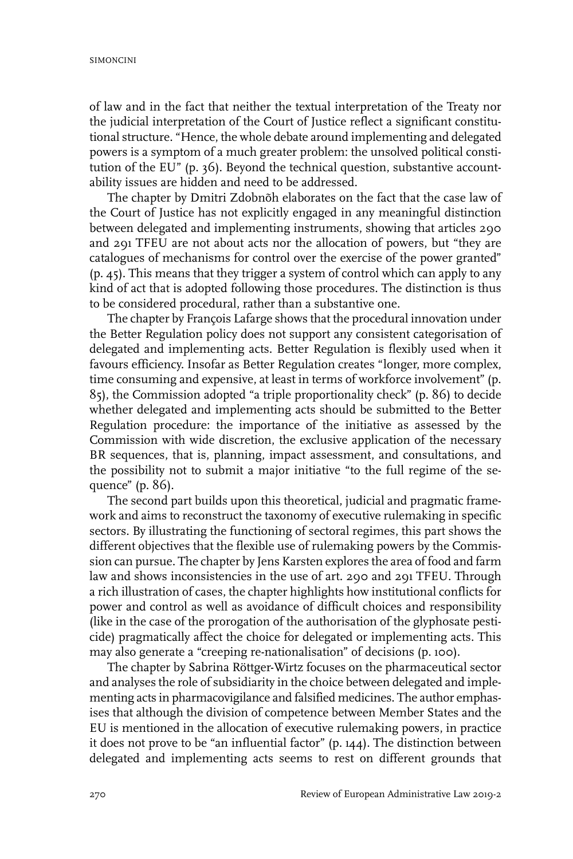of law and in the fact that neither the textual interpretation of the Treaty nor the judicial interpretation of the Court of Justice reflect a significant constitutional structure. "Hence, the whole debate around implementing and delegated powers is a symptom of a much greater problem: the unsolved political constitution of the EU" (p. 36). Beyond the technical question, substantive accountability issues are hidden and need to be addressed.

The chapter by Dmitri Zdobnõh elaborates on the fact that the case law of the Court of Justice has not explicitly engaged in any meaningful distinction between delegated and implementing instruments, showing that articles 290 and 291 TFEU are not about acts nor the allocation of powers, but "they are catalogues of mechanisms for control over the exercise of the power granted" (p. 45). This means that they trigger a system of control which can apply to any kind of act that is adopted following those procedures. The distinction is thus to be considered procedural, rather than a substantive one.

The chapter by François Lafarge shows that the procedural innovation under the Better Regulation policy does not support any consistent categorisation of delegated and implementing acts. Better Regulation is flexibly used when it favours efficiency. Insofar as Better Regulation creates "longer, more complex, time consuming and expensive, at least in terms of workforce involvement" (p. 85), the Commission adopted "a triple proportionality check" (p. 86) to decide whether delegated and implementing acts should be submitted to the Better Regulation procedure: the importance of the initiative as assessed by the Commission with wide discretion, the exclusive application of the necessary BR sequences, that is, planning, impact assessment, and consultations, and the possibility not to submit a major initiative "to the full regime of the sequence" (p. 86).

The second part builds upon this theoretical, judicial and pragmatic framework and aims to reconstruct the taxonomy of executive rulemaking in specific sectors. By illustrating the functioning of sectoral regimes, this part shows the different objectives that the flexible use of rulemaking powers by the Commission can pursue. The chapter by Jens Karsten explores the area of food and farm law and shows inconsistencies in the use of art. 290 and 291 TFEU. Through a rich illustration of cases, the chapter highlights how institutional conflicts for power and control as well as avoidance of difficult choices and responsibility (like in the case of the prorogation of the authorisation of the glyphosate pesticide) pragmatically affect the choice for delegated or implementing acts. This may also generate a "creeping re-nationalisation" of decisions (p. 100).

The chapter by Sabrina Röttger-Wirtz focuses on the pharmaceutical sector and analyses the role of subsidiarity in the choice between delegated and implementing acts in pharmacovigilance and falsified medicines. The author emphasises that although the division of competence between Member States and the EU is mentioned in the allocation of executive rulemaking powers, in practice it does not prove to be "an influential factor" (p. 144). The distinction between delegated and implementing acts seems to rest on different grounds that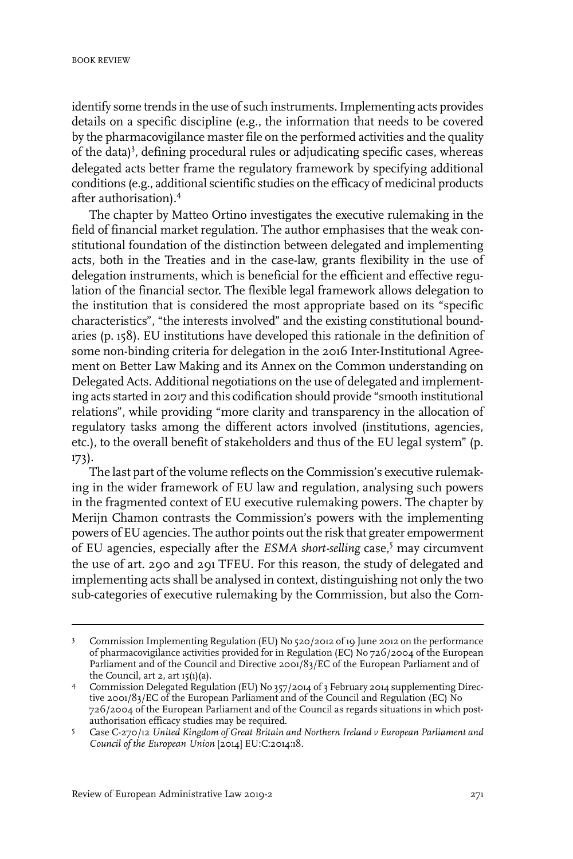identify some trends in the use of such instruments.Implementing acts provides details on a specific discipline (e.g., the information that needs to be covered by the pharmacovigilance master file on the performed activities and the quality of the data)<sup>3</sup>, defining procedural rules or adjudicating specific cases, whereas delegated acts better frame the regulatory framework by specifying additional conditions (e.g., additional scientific studies on the efficacy of medicinal products after authorisation).<sup>4</sup>

The chapter by Matteo Ortino investigates the executive rulemaking in the field of financial market regulation. The author emphasises that the weak constitutional foundation of the distinction between delegated and implementing acts, both in the Treaties and in the case-law, grants flexibility in the use of delegation instruments, which is beneficial for the efficient and effective regulation of the financial sector. The flexible legal framework allows delegation to the institution that is considered the most appropriate based on its "specific characteristics", "the interests involved" and the existing constitutional boundaries (p. 158). EU institutions have developed this rationale in the definition of some non-binding criteria for delegation in the 2016 Inter-Institutional Agreement on Better Law Making and its Annex on the Common understanding on Delegated Acts. Additional negotiations on the use of delegated and implementing acts started in 2017 and this codification should provide "smooth institutional relations", while providing "more clarity and transparency in the allocation of regulatory tasks among the different actors involved (institutions, agencies, etc.), to the overall benefit of stakeholders and thus of the EU legal system" (p. 173).

The last part of the volume reflects on the Commission's executive rulemaking in the wider framework of EU law and regulation, analysing such powers in the fragmented context of EU executive rulemaking powers. The chapter by Merijn Chamon contrasts the Commission's powers with the implementing powers of EU agencies. The author points out the risk that greater empowerment of EU agencies, especially after the *ESMA short-selling* case,<sup>5</sup> may circumvent the use of art. 290 and 291 TFEU. For this reason, the study of delegated and implementing acts shall be analysed in context, distinguishing not only the two sub-categories of executive rulemaking by the Commission, but also the Com-

Commission Implementing Regulation (EU) No 520/2012 of 19 June 2012 on the performance of pharmacovigilance activities provided for in Regulation (EC) No 726/2004 of the European 3 Parliament and of the Council and Directive 2001/83/EC of the European Parliament and of the Council, art  $2$ , art  $15(1)(a)$ .

Commission Delegated Regulation (EU) No 357/2014 of 3 February 2014 supplementing Directive 2001/83/EC of the European Parliament and of the Council and Regulation (EC) No 4 726/2004 of the European Parliament and of the Council as regards situations in which postauthorisation efficacy studies may be required.

Case C-270/12 *United Kingdom of Great Britain and Northern Ireland v European Parliament and* 5 *Council of the European Union* [2014] EU:C:2014:18.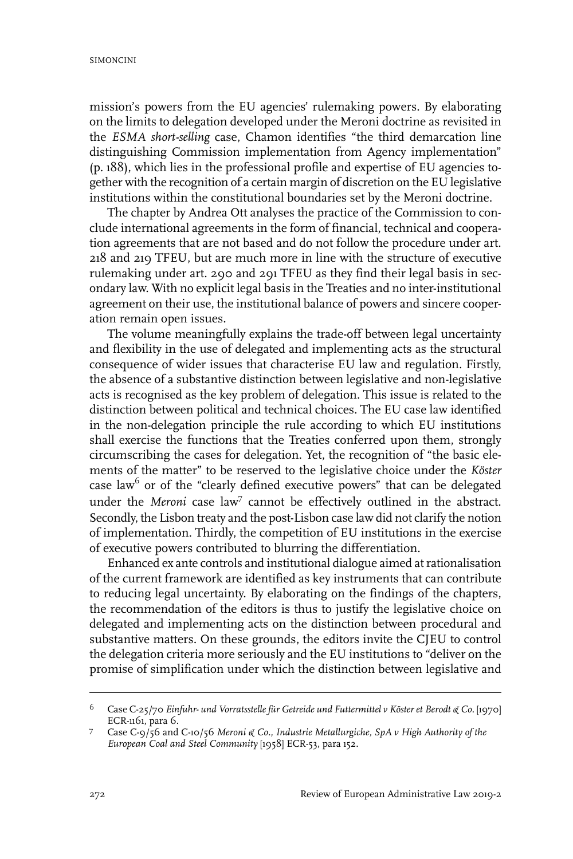mission's powers from the EU agencies' rulemaking powers. By elaborating on the limits to delegation developed under the Meroni doctrine as revisited in the *ESMA short-selling* case, Chamon identifies "the third demarcation line distinguishing Commission implementation from Agency implementation" (p. 188), which lies in the professional profile and expertise of EU agencies together with the recognition of a certain margin of discretion on the EU legislative institutions within the constitutional boundaries set by the Meroni doctrine.

The chapter by Andrea Ott analyses the practice of the Commission to conclude international agreements in the form of financial, technical and cooperation agreements that are not based and do not follow the procedure under art. 218 and 219 TFEU, but are much more in line with the structure of executive rulemaking under art. 290 and 291 TFEU as they find their legal basis in secondary law. With no explicit legal basis in the Treaties and no inter-institutional agreement on their use, the institutional balance of powers and sincere cooperation remain open issues.

The volume meaningfully explains the trade-off between legal uncertainty and flexibility in the use of delegated and implementing acts as the structural consequence of wider issues that characterise EU law and regulation. Firstly, the absence of a substantive distinction between legislative and non-legislative acts is recognised as the key problem of delegation. This issue is related to the distinction between political and technical choices. The EU case law identified in the non-delegation principle the rule according to which EU institutions shall exercise the functions that the Treaties conferred upon them, strongly circumscribing the cases for delegation. Yet, the recognition of "the basic elements of the matter" to be reserved to the legislative choice under the *Köster* case law<sup>6</sup> or of the "clearly defined executive powers" that can be delegated under the Meroni case law<sup>7</sup> cannot be effectively outlined in the abstract. Secondly, the Lisbon treaty and the post-Lisbon case law did not clarify the notion of implementation. Thirdly, the competition of EU institutions in the exercise of executive powers contributed to blurring the differentiation.

Enhanced ex ante controls and institutional dialogue aimed atrationalisation of the current framework are identified as key instruments that can contribute to reducing legal uncertainty. By elaborating on the findings of the chapters, the recommendation of the editors is thus to justify the legislative choice on delegated and implementing acts on the distinction between procedural and substantive matters. On these grounds, the editors invite the CJEU to control the delegation criteria more seriously and the EU institutions to "deliver on the promise of simplification under which the distinction between legislative and

Case C-25/70 *Einfuhr- und Vorratsstelle für Getreide und Futtermittel v Köster et Berodt & Co.* [1970] ECR-1161, para 6. 6

Case C-9/56 and C-10/56 *Meroni & Co., Industrie Metallurgiche, SpA v High Authority of the European Coal and Steel Community* [1958] ECR-53, para 152. 7